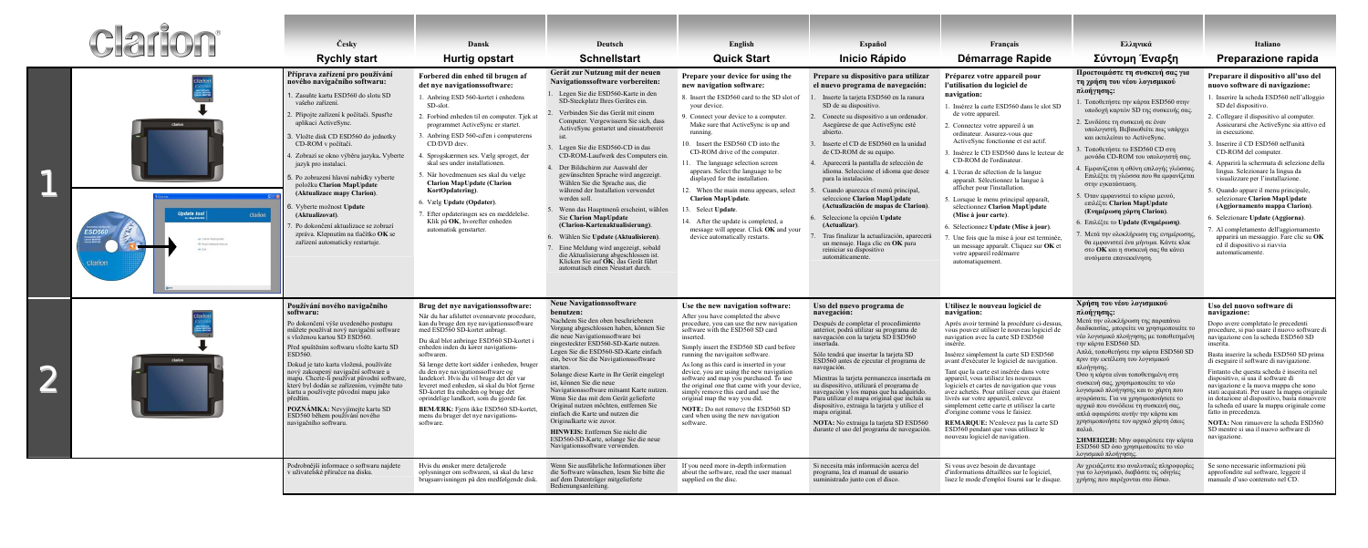| clarion |                                                                                                                                                                  | Česky<br><b>Rychly start</b>                                                                                                                                                                                                                                                                                                                                                                                                                                                                                                                                                                        | Dansk<br><b>Hurtig opstart</b>                                                                                                                                                                                                                                                                                                                                                                                                                                                                                                                                                                                                   | Deutsch<br><b>Schnellstart</b>                                                                                                                                                                                                                                                                                                                                                                                                                                                                                                                                                                                                                                                                                                                                                                                               | English<br><b>Quick Start</b>                                                                                                                                                                                                                                                                                                                                                                                                                                                                                                                                                                                                        | Español<br><b>Inicio Rápido</b>                                                                                                                                                                                                                                                                                                                                                                                                                                                                                                                                                                                                                                                                                            | Français<br>Démarrage Rapide                                                                                                                                                                                                                                                                                                                                                                                                                                                                                                                                                                                                                                                                                                            | Ελληνικά<br>Σύντομη Έναρξη                                                                                                                                                                                                                                                                                                                                                                                                                                                                                                                                                                                                                                                                                                                   | Italiano<br>Preparazione rapida                                                                                                                                                                                                                                                                                                                                                                                                                                                                                                                                                                                                                                                                                                  |
|---------|------------------------------------------------------------------------------------------------------------------------------------------------------------------|-----------------------------------------------------------------------------------------------------------------------------------------------------------------------------------------------------------------------------------------------------------------------------------------------------------------------------------------------------------------------------------------------------------------------------------------------------------------------------------------------------------------------------------------------------------------------------------------------------|----------------------------------------------------------------------------------------------------------------------------------------------------------------------------------------------------------------------------------------------------------------------------------------------------------------------------------------------------------------------------------------------------------------------------------------------------------------------------------------------------------------------------------------------------------------------------------------------------------------------------------|------------------------------------------------------------------------------------------------------------------------------------------------------------------------------------------------------------------------------------------------------------------------------------------------------------------------------------------------------------------------------------------------------------------------------------------------------------------------------------------------------------------------------------------------------------------------------------------------------------------------------------------------------------------------------------------------------------------------------------------------------------------------------------------------------------------------------|--------------------------------------------------------------------------------------------------------------------------------------------------------------------------------------------------------------------------------------------------------------------------------------------------------------------------------------------------------------------------------------------------------------------------------------------------------------------------------------------------------------------------------------------------------------------------------------------------------------------------------------|----------------------------------------------------------------------------------------------------------------------------------------------------------------------------------------------------------------------------------------------------------------------------------------------------------------------------------------------------------------------------------------------------------------------------------------------------------------------------------------------------------------------------------------------------------------------------------------------------------------------------------------------------------------------------------------------------------------------------|-----------------------------------------------------------------------------------------------------------------------------------------------------------------------------------------------------------------------------------------------------------------------------------------------------------------------------------------------------------------------------------------------------------------------------------------------------------------------------------------------------------------------------------------------------------------------------------------------------------------------------------------------------------------------------------------------------------------------------------------|----------------------------------------------------------------------------------------------------------------------------------------------------------------------------------------------------------------------------------------------------------------------------------------------------------------------------------------------------------------------------------------------------------------------------------------------------------------------------------------------------------------------------------------------------------------------------------------------------------------------------------------------------------------------------------------------------------------------------------------------|----------------------------------------------------------------------------------------------------------------------------------------------------------------------------------------------------------------------------------------------------------------------------------------------------------------------------------------------------------------------------------------------------------------------------------------------------------------------------------------------------------------------------------------------------------------------------------------------------------------------------------------------------------------------------------------------------------------------------------|
|         | $\left. \textit{Update tool}\right _{\textit{Inexterior}}$<br>clarion<br>$\rightarrow$ Coron Masopoint<br>-> Finad Butteare Markust<br>$-80.8$<br><b>Clarion</b> | Příprava zařízení pro používání<br>nového navigačního softwaru:<br>. Zasuňte kartu ESD560 do slotu SD<br>vašeho zařízení.<br>Připojte zařízení k počítači. Spusťte<br>aplikaci ActiveSync.<br>3. Vložte disk CD ESD560 do jednotky<br>CD-ROM v počítači.<br>. Zobrazí se okno výběru jazyka. Vyberte<br>jazyk pro instalaci.<br>5. Po zobrazení hlavní nabídky vyberte<br>položku Clarion MapUpdate<br>(Aktualizace mapy Clarion).<br>. Vyberte možnost Update<br>(Aktualizovat).<br>Po dokončení aktualizace se zobrazí<br>zpráva. Klepnutím na tlačítko OK se<br>zařízení automaticky restartuje. | Forbered din enhed til brugen af<br>det nye navigations software:<br>1. Anbring ESD 560-kortet i enhedens<br>SD-slot<br>2. Forbind enheden til en computer. Tjek at<br>programmet ActiveSync er startet.<br>3. Anbring ESD 560-cd'en i computerens<br>CD/DVD drev.<br>. Sprogskærmen ses. Vælg sproget, der<br>skal ses under installationen.<br>5. Når hovedmenuen ses skal du vælge<br><b>Clarion MapUpdate (Clarion</b><br>KortOpdatering).<br>6. Vælg Update (Opdater).<br>7. Efter opdateringen ses en meddelelse.<br>Klik på OK, hvorefter enheden<br>automatisk genstarter.                                               | Gerät zur Nutzung mit der neuen<br>Navigations software vorbereiten:<br>Legen Sie die ESD560-Karte in den<br>SD-Steckplatz Ihres Gerätes ein.<br>Verbinden Sie das Gerät mit einem<br>Computer. Vergewissern Sie sich, dass<br>ActiveSync gestartet und einsatzbereit<br>Legen Sie die ESD560-CD in das<br>CD-ROM-Laufwerk des Computers ein.<br>Der Bildschirm zur Auswahl der<br>gewünschten Sprache wird angezeigt.<br>Wählen Sie die Sprache aus, die<br>während der Installation verwendet<br>werden soll.<br>Wenn das Hauptmenü erscheint, wählen<br><b>Sie Clarion MapUpdate</b><br>(Clarion-Kartenaktualisierung).<br>Wählen Sie Update (Aktualisieren).<br>Eine Meldung wird angezeigt, sobald<br>die Aktualisierung abgeschlossen ist.<br>Klicken Sie auf OK; das Gerät führt<br>automatisch einen Neustart durch. | Prepare your device for using the<br>new navigation software:<br>8. Insert the ESD560 card to the SD slot of<br>your device.<br>9. Connect your device to a computer.<br>Make sure that ActiveSync is up and<br>running.<br>10. Insert the ESD560 CD into the<br>CD-ROM drive of the computer.<br>11. The language selection screen<br>appears. Select the language to be<br>displayed for the installation.<br>12. When the main menu appears, select<br><b>Clarion MapUpdate.</b><br>13. Select Update.<br>14. After the update is completed, a<br>message will appear. Click <b>OK</b> and your<br>device automatically restarts. | Prepare su dispositivo para utilizar<br>el nuevo programa de navegación:<br>Inserte la tarjeta ESD560 en la ranura<br>SD de su dispositivo.<br>Conecte su dispositivo a un ordenador.<br>Asegúrese de que ActiveSync esté<br>abierto.<br>Inserte el CD de ESD560 en la unidad<br>de CD-ROM de su equipo.<br>Aparecerá la pantalla de selección de<br>idioma. Seleccione el idioma que desee<br>para la instalación.<br>Cuando aparezca el menú principal,<br>seleccione Clarion MapUpdate<br>(Actualización de mapas de Clarion).<br>Seleccione la opción Update<br>(Actualizar).<br>Tras finalizar la actualización, aparecerá<br>un mensaje. Haga clic en <b>OK</b> para<br>reiniciar su dispositivo<br>automáticamente. | Préparez votre appareil pour<br>l'utilisation du logiciel de<br>navigation:<br>1. Insérez la carte ESD560 dans le slot SD<br>de votre appareil<br>2. Connectez votre appareil à un<br>ordinateur. Assurez-vous que<br>ActiveSync fonctionne et est actif.<br>3. Insérez le CD ESD560 dans le lecteur de<br>CD-ROM de l'ordinateur.<br>4. L'écran de sélection de la langue<br>apparaît. Sélectionnez la langue à<br>afficher pour l'installation.<br>5. Lorsque le menu principal apparaît,<br>sélectionnez Clarion MapUpdate<br>(Mise à jour carte).<br>6. Sélectionnez Update (Mise à jour).<br>7. Une fois que la mise à jour est terminée<br>un message apparaît. Cliquez sur OK et<br>votre appareil redémarre<br>automatiquement. | Προετοιμάστε τη συσκευή σας για<br>τη χρήση του νέου λογισμικού<br>πλοήγησης:<br>1. Τοποθετήστε την κάρτα ESD560 στην<br>υποδοχή καρτών SD της συσκευής σας.<br>2. Συνδέστε τη συσκευή σε έναν<br>υπολογιστή. Βεβαιωθείτε πως υπάρχει<br>και εκτελείται το ActiveSync.<br>3. Τοποθετήστε το ESD560 CD στη<br>μονάδα CD-ROM του υπολογιστή σας.<br>4. Εμφανίζεται η οθόνη επιλογής γλώσσας.<br>Επιλέξτε τη γλώσσα που θα εμφανίζεται<br>στην εγκατάσταση.<br>. Όταν εμφανιστεί το κύριο μενού,<br>επιλέξτε Clarion MapUpdate<br>(Ενημέρωση χάρτη Clarion).<br>6. Επιλέξτε το Update (Ενημέρωση)<br>Μετά την ολοκλήρωση της ενημέρωσης,<br>θα εμφανιστεί ένα μήνυμα. Κάντε κλικ<br>στο ΟΚ και η συσκευή σας θα κάνει<br>αυτόματα επανεκκίνηση. | Preparare il dispositivo all'uso del<br>nuovo software di navigazione:<br>1. Inserire la scheda ESD560 nell'alloggio<br>SD del dispositivo.<br>2. Collegare il dispositivo al computer.<br>Assicurarsi che ActiveSync sia attivo ed<br>in esecuzione.<br>. Inserire il CD ESD560 nell'unità<br>CD-ROM del computer.<br>Apparirà la schermata di selezione della<br>lingua. Selezionare la lingua da<br>visualizzare per l'installazione.<br>5. Quando appare il menu principale,<br>selezionare Clarion MapUpdate<br>(Aggiornamento mappa Clarion).<br>6. Selezionare Update (Aggiorna).<br>'. Al completamento dell'aggiornamento<br>apparirà un messaggio. Fare clic su OK<br>ed il dispositivo si riavvia<br>automaticamente. |
|         |                                                                                                                                                                  | Používání nového navigačního<br>softwaru:<br>Po dokončení výše uvedeného postupu<br>můžete používat nový navigační software<br>s vloženou kartou SD ESD560.<br>Před spuštěním softwaru vložte kartu SD<br>ESD560<br>Dokud je tato karta vložená, používáte<br>nový zakoupený navigační software a<br>mapu. Chcete-li používat původní software,<br>který byl dodán se zařízením, vyjměte tuto<br>kartu a používejte původní mapu jako<br>POZNÁMKA: Nevyjímejte kartu SD<br>ESD560 během používání nového<br>navigačního softwaru.                                                                   | Brug det nye navigationssoftware:<br>Når du har afsluttet ovennævnte procedure,<br>kan du bruge den nye navigationssoftware<br>med ESD560 SD-kortet anbragt.<br>Du skal blot anbringe ESD560 SD-kortet<br>enheden inden du kører navigations-<br>softwaren.<br>Så længe dette kort sidder i enheden, bruger<br>du den nye navigationssoftware og<br>landekort. Hvis du vil bruge det der var<br>leveret med enheden, så skal du blot fjerne<br>SD-kortet fra enheden og bruge det<br>oprindelige landkort, som du gjorde før.<br><b>BEMÆRK:</b> Fjern ikke ESD560 SD-kortet.<br>mens du bruger det nye navigations-<br>software. | <b>Neue Navigationssoftware</b><br>benutzen:<br>Nachdem Sie den oben beschriebenen<br>Vorgang abgeschlossen haben, können Sie<br>die neue Navigationssoftware bei<br>eingesteckter ESD560-SD-Karte nutzen.<br>Legen Sie die ESD560-SD-Karte einfach<br>ein, bevor Sie die Navigationssoftware<br>starten<br>Solange diese Karte in Ihr Gerät eingelegt<br>ist, können Sie die neue<br>Navigationssoftware mitsamt Karte nutzen.<br>Wenn Sie das mit dem Gerät gelieferte<br>Original nutzen möchten, entfernen Sie<br>einfach die Karte und nutzen die<br>Originalkarte wie zuvor.<br><b>HINWEIS:</b> Entfernen Sie nicht die<br>ESD560-SD-Karte, solange Sie die neue<br>Navigationssoftware verwenden.                                                                                                                     | Use the new navigation software:<br>After you have completed the above<br>procedure, you can use the new navigation<br>software with the ESD560 SD card<br>inserted<br>Simply insert the ESD560 SD card before<br>running the navigaiton software.<br>As long as this card is inserted in your<br>device, you are using the new navigation<br>software and map you purchased. To use<br>the original one that came with your device,<br>simply remove this card and use the<br>original map the way you did.<br><b>NOTE:</b> Do not remove the ESD560 SD<br>card when using the new navigation<br>software.                          | Uso del nuevo programa de<br>navegación:<br>Después de completar el procedimiento<br>anterior, podrá utilizar su programa de<br>navegación con la tarjeta SD ESD560<br>insertada.<br>Sólo tendrá que insertar la tarieta SD<br>ESD560 antes de ejecutar el programa de<br>navegación.<br>Mientras la tarjeta permanezca insertada en<br>su dispositivo, utilizará el programa de<br>navegación y los mapas que ha adquirido.<br>Para utilizar el mapa original que incluía su<br>dispositivo, extraiga la tarjeta y utilice el<br>mapa original.<br><b>NOTA:</b> No extraiga la tarieta SD ESD560<br>durante el uso del programa de navegación.                                                                            | Utilisez le nouveau logiciel de<br>navigation:<br>Après avoir terminé la procédure ci-dessus.<br>vous pouvez utiliser le nouveau logiciel de<br>navigation avec la carte SD ESD560<br>insérée<br>Insérez simplement la carte SD ESD560<br>avant d'exécuter le logiciel de navigation<br>Tant que la carte est insérée dans votre<br>appareil, vous utilisez les nouveaux<br>logiciels et cartes de navigation que vous<br>avez achetés. Pour utiliser ceux qui étaient<br>livrés sur votre appareil, enlevez<br>simplement cette carte et utilisez la carte<br>d'origine comme vous le faisiez.<br><b>REMARQUE:</b> N'enlevez pas la carte SD<br>ESD560 pendant que vous utilisez le<br>nouveau logiciel de navigation.                 | Χρήση του νέου λογισμικού<br>πλοήγησης:<br>Μετά την ολοκλήρωση της παραπάνω<br>διαδικασίας, μπορείτε να χρησιμοποιείτε το<br>νέο λογισμικό πλοήγησης με τοποθετημένη<br>την κάρτα ESD560 SD.<br>Απλά, τοποθετήστε την κάρτα ESD560 SD<br>πριν την εκτέλεση του λογισμικού<br>πλοήγησης.<br>Όσο η κάρτα είναι τοποθετημένη στη<br>συσκευή σας, χρησιμοποιείτε το νέο<br>λογισμικό πλοήγησης και το χάρτη που<br>αγοράσατε. Για να χρησιμοποιήσετε το<br>αρχικό που συνόδευε τη συσκευή σας,<br>απλά αφαιρέστε αυτήν την κάρτα και<br>χρησιμοποιήστε τον αρχικό χάρτη όπως<br>παλιά.<br>ΣΗΜΕΙΩΣΗ: Μην αφαιρέσετε την κάρτα<br>ESD560 SD όσο χρησιμοποιείτε το νέο<br>λογισμικό πλοήγησης.                                                      | Uso del nuovo software di<br>navigazione:<br>Dopo avere completato le precedenti<br>procedure, si può usare il nuovo software di<br>navigazione con la scheda ESD560 SD<br>inserita.<br>Basta inserire la scheda ESD560 SD prima<br>di eseguire il software di navigazione.<br>Fintanto che questa scheda è inserita nel<br>dispositivo, si usa il software di<br>navigazione e la nuova mappa che sono<br>stati acquistati. Per usare la mappa originale<br>in dotazione al dispositivo, basta rimuovere<br>la scheda ed usare la mappa originale come<br>fatto in precedenza.<br><b>NOTA:</b> Non rimuovere la scheda ESD560<br>SD mentre si usa il nuovo software di<br>navigazione.                                          |
|         |                                                                                                                                                                  | Podrobnější informace o softwaru najdete<br>v uživatelské příručce na disku.                                                                                                                                                                                                                                                                                                                                                                                                                                                                                                                        | Hvis du ønsker mere detalierede<br>oplysninger om softwaren, så skal du læse<br>brugsanvisningen på den medfølgende disk                                                                                                                                                                                                                                                                                                                                                                                                                                                                                                         | Wenn Sie ausführliche Informationen über<br>die Software wünschen, lesen Sie bitte die<br>auf dem Datenträger mitgelieferte<br>Bedienungsanleitung.                                                                                                                                                                                                                                                                                                                                                                                                                                                                                                                                                                                                                                                                          | If you need more in-depth information<br>about the software, read the user manual<br>supplied on the disc.                                                                                                                                                                                                                                                                                                                                                                                                                                                                                                                           | Si necesita más información acerca del<br>programa, lea el manual de usuario<br>suministrado junto con el disco.                                                                                                                                                                                                                                                                                                                                                                                                                                                                                                                                                                                                           | Si vous avez besoin de davantage<br>d'informations détaillées sur le logiciel,<br>lisez le mode d'emploi fourni sur le disque.                                                                                                                                                                                                                                                                                                                                                                                                                                                                                                                                                                                                          | Αν χρειάζεστε πιο αναλυτικές πληροφορίες<br>για το λογισμικό, διαβάστε τις οδηγίες<br>γρήσης που παρέγονται στο δίσκο.                                                                                                                                                                                                                                                                                                                                                                                                                                                                                                                                                                                                                       | Se sono necessarie informazioni più<br>approfondite sul software, leggere il<br>manuale d'uso contenuto nel CD.                                                                                                                                                                                                                                                                                                                                                                                                                                                                                                                                                                                                                  |